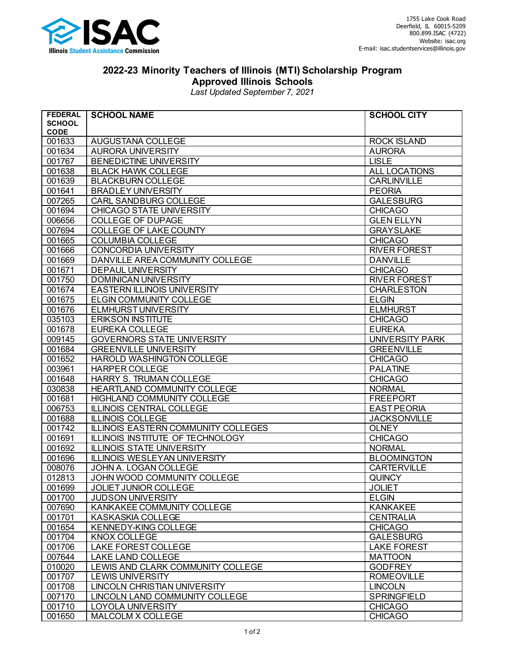

## **2022-23 Minority Teachers of Illinois (MTI) Scholarship Program Approved Illinois Schools**

*Last Updated September 7, 2021*

| <b>FEDERAL</b>   | <b>SCHOOL NAME</b>                        | <b>SCHOOL CITY</b>                  |
|------------------|-------------------------------------------|-------------------------------------|
| <b>SCHOOL</b>    |                                           |                                     |
| <b>CODE</b>      |                                           |                                     |
| 001633<br>001634 | AUGUSTANA COLLEGE<br>AURORA UNIVERSITY    | <b>ROCK ISLAND</b><br><b>AURORA</b> |
| 001767           | BENEDICTINE UNIVERSITY                    | <b>LISLE</b>                        |
| 001638           | <b>BLACK HAWK COLLEGE</b>                 | ALL LOCATIONS                       |
| 001639           | <b>BLACKBURN COLLEGE</b>                  | <b>CARLINVILLE</b>                  |
| 001641           | <b>BRADLEY UNIVERSITY</b>                 | <b>PEORIA</b>                       |
| 007265           | <b>CARL SANDBURG COLLEGE</b>              | <b>GALESBURG</b>                    |
| 001694           | CHICAGO STATE UNIVERSITY                  | <b>CHICAGO</b>                      |
| 006656           | <b>COLLEGE OF DUPAGE</b>                  | <b>GLEN ELLYN</b>                   |
| 007694           | COLLEGE OF LAKE COUNTY                    | <b>GRAYSLAKE</b>                    |
| 001665           | <b>COLUMBIA COLLEGE</b>                   | <b>CHICAGO</b>                      |
| 001666           | CONCORDIA UNIVERSITY                      | <b>RIVER FOREST</b>                 |
| 001669           | DANVILLE AREA COMMUNITY COLLEGE           | <b>DANVILLE</b>                     |
| 001671           | <b>DEPAUL UNIVERSITY</b>                  | <b>CHICAGO</b>                      |
| 001750           | <b>DOMINICAN UNIVERSITY</b>               | <b>RIVER FOREST</b>                 |
| 001674           | <b>EASTERN ILLINOIS UNIVERSITY</b>        | <b>CHARLESTON</b>                   |
| 001675           | <b>ELGIN COMMUNITY COLLEGE</b>            | <b>ELGIN</b>                        |
| 001676           | <b>ELMHURST UNIVERSITY</b>                | <b>ELMHURST</b>                     |
| 035103           | <b>ERIKSON INSTITUTE</b>                  | <b>CHICAGO</b>                      |
| 001678           | <b>EUREKA COLLEGE</b>                     | <b>EUREKA</b>                       |
| 009145           | <b>GOVERNORS STATE UNIVERSITY</b>         | <b>UNIVERSITY PARK</b>              |
| 001684           | <b>GREENVILLE UNIVERSITY</b>              | <b>GREENVILLE</b>                   |
| 001652           | HAROLD WASHINGTON COLLEGE                 | <b>CHICAGO</b>                      |
| 003961           | <b>HARPER COLLEGE</b>                     | <b>PALATINE</b>                     |
| 001648           | HARRY S. TRUMAN COLLEGE                   | <b>CHICAGO</b>                      |
| 030838           | HEARTLAND COMMUNITY COLLEGE               | <b>NORMAL</b>                       |
| 001681           | HIGHLAND COMMUNITY COLLEGE                | <b>FREEPORT</b>                     |
| 006753           | <b>ILLINOIS CENTRAL COLLEGE</b>           | <b>EAST PEORIA</b>                  |
| 001688           | <b>ILLINOIS COLLEGE</b>                   | <b>JACKSONVILLE</b>                 |
| 001742           | ILLINOIS EASTERN COMMUNITY COLLEGES       | <b>OLNEY</b>                        |
| 001691           | ILLINOIS INSTITUTE OF TECHNOLOGY          | <b>CHICAGO</b>                      |
| 001692           | <b>ILLINOIS STATE UNIVERSITY</b>          | <b>NORMAL</b>                       |
| 001696           | <b>ILLINOIS WESLEYAN UNIVERSITY</b>       | <b>BLOOMINGTON</b>                  |
| 008076           | JOHN A. LOGAN COLLEGE                     | <b>CARTERVILLE</b>                  |
| 012813           | JOHN WOOD COMMUNITY COLLEGE               | <b>QUINCY</b>                       |
| 001699           | JOLIET JUNIOR COLLEGE                     | <b>JOLIET</b>                       |
| 001700           | <b>JUDSON UNIVERSITY</b>                  | <b>ELGIN</b>                        |
| 007690<br>001701 | KANKAKEE COMMUNITY COLLEGE                | <b>KANKAKEE</b>                     |
| 001654           | KASKASKIA COLLEGE<br>KENNEDY-KING COLLEGE | <b>CENTRALIA</b>                    |
| 001704           | KNOX COLLEGE                              | <b>CHICAGO</b><br><b>GALESBURG</b>  |
| 001706           | LAKE FOREST COLLEGE                       | <b>LAKE FOREST</b>                  |
| 007644           | LAKE LAND COLLEGE                         | <b>MATTOON</b>                      |
| 010020           | LEWIS AND CLARK COMMUNITY COLLEGE         | <b>GODFREY</b>                      |
| 001707           | <b>LEWIS UNIVERSITY</b>                   | <b>ROMEOVILLE</b>                   |
| 001708           | LINCOLN CHRISTIAN UNIVERSITY              | <b>LINCOLN</b>                      |
| 007170           | LINCOLN LAND COMMUNITY COLLEGE            | <b>SPRINGFIELD</b>                  |
| 001710           | LOYOLA UNIVERSITY                         | <b>CHICAGO</b>                      |
| 001650           | MALCOLM X COLLEGE                         | <b>CHICAGO</b>                      |
|                  |                                           |                                     |